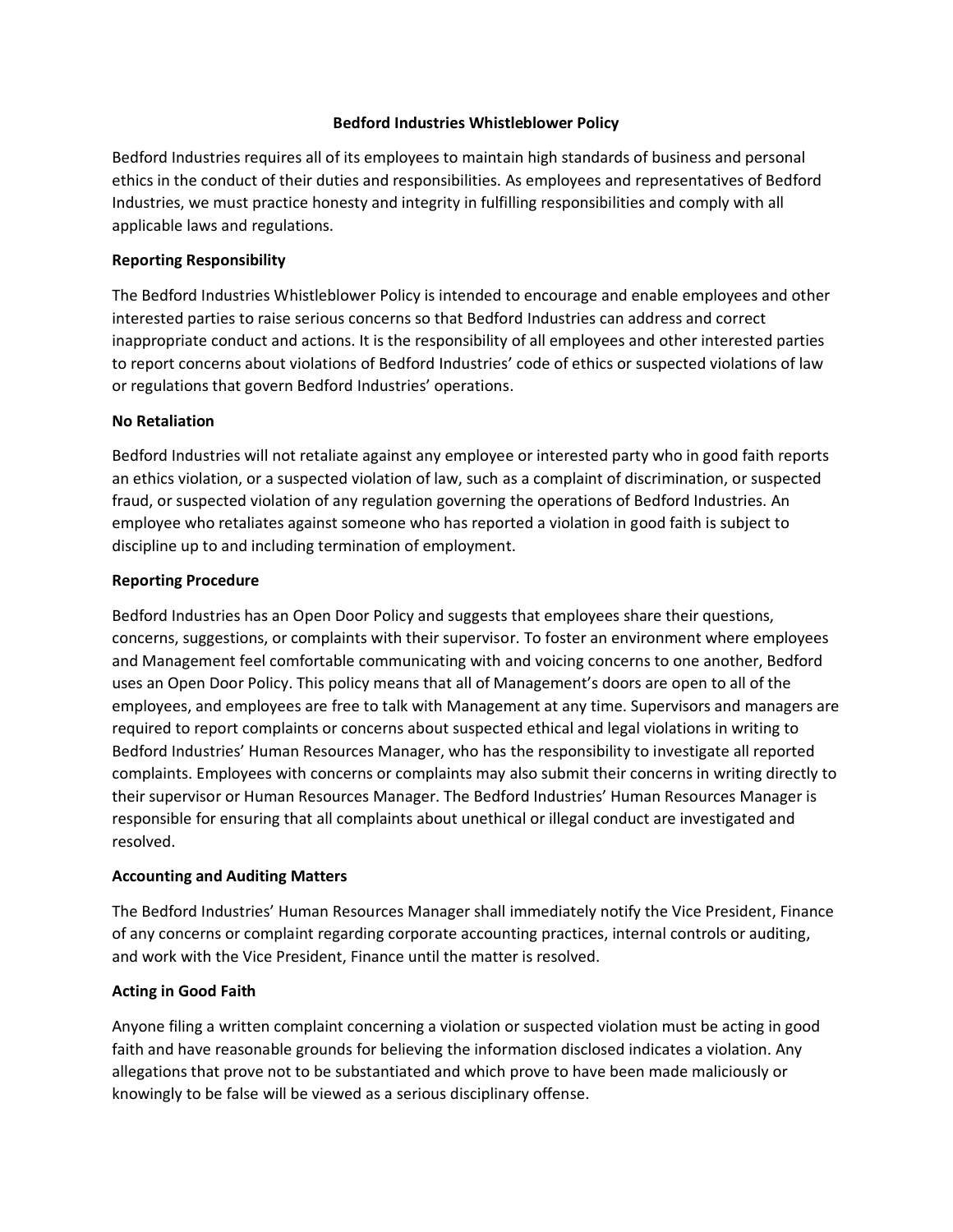#### **Bedford Industries Whistleblower Policy**

Bedford Industries requires all of its employees to maintain high standards of business and personal ethics in the conduct of their duties and responsibilities. As employees and representatives of Bedford Industries, we must practice honesty and integrity in fulfilling responsibilities and comply with all applicable laws and regulations.

### **Reporting Responsibility**

The Bedford Industries Whistleblower Policy is intended to encourage and enable employees and other interested parties to raise serious concerns so that Bedford Industries can address and correct inappropriate conduct and actions. It is the responsibility of all employees and other interested parties to report concerns about violations of Bedford Industries' code of ethics or suspected violations of law or regulations that govern Bedford Industries' operations.

## **No Retaliation**

Bedford Industries will not retaliate against any employee or interested party who in good faith reports an ethics violation, or a suspected violation of law, such as a complaint of discrimination, or suspected fraud, or suspected violation of any regulation governing the operations of Bedford Industries. An employee who retaliates against someone who has reported a violation in good faith is subject to discipline up to and including termination of employment.

#### **Reporting Procedure**

Bedford Industries has an Open Door Policy and suggests that employees share their questions, concerns, suggestions, or complaints with their supervisor. To foster an environment where employees and Management feel comfortable communicating with and voicing concerns to one another, Bedford uses an Open Door Policy. This policy means that all of Management's doors are open to all of the employees, and employees are free to talk with Management at any time. Supervisors and managers are required to report complaints or concerns about suspected ethical and legal violations in writing to Bedford Industries' Human Resources Manager, who has the responsibility to investigate all reported complaints. Employees with concerns or complaints may also submit their concerns in writing directly to their supervisor or Human Resources Manager. The Bedford Industries' Human Resources Manager is responsible for ensuring that all complaints about unethical or illegal conduct are investigated and resolved.

#### **Accounting and Auditing Matters**

The Bedford Industries' Human Resources Manager shall immediately notify the Vice President, Finance of any concerns or complaint regarding corporate accounting practices, internal controls or auditing, and work with the Vice President, Finance until the matter is resolved.

# **Acting in Good Faith**

Anyone filing a written complaint concerning a violation or suspected violation must be acting in good faith and have reasonable grounds for believing the information disclosed indicates a violation. Any allegations that prove not to be substantiated and which prove to have been made maliciously or knowingly to be false will be viewed as a serious disciplinary offense.